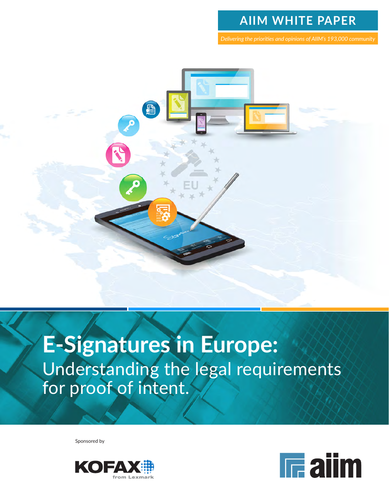### **AIIM WHITE PAPER**

*Delivering the priorities and opinions of AIIM's 193,000 community*



# **E-Signatures in Europe:**  Understanding the legal requirements for proof of intent.

Sponsored by



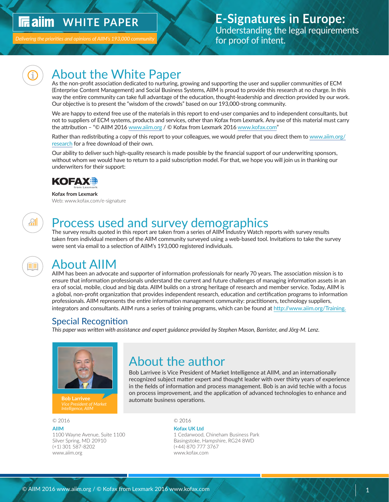#### <span id="page-1-0"></span> **WHITE PAPER In ailm**

Delivering the priorities and opinions of AIIM's 193,000 communit

<u>all</u>

### About the White Paper

As the non-profit association dedicated to nurturing, growing and supporting the user and supplier communities of ECM (Enterprise Content Management) and Social Business Systems, AIIM is proud to provide this research at no charge. In this way the entire community can take full advantage of the education, thought-leadership and direction provided by our work. Our objective is to present the "wisdom of the crowds" based on our 193,000-strong community.

We are happy to extend free use of the materials in this report to end-user companies and to independent consultants, but not to suppliers of ECM systems, products and services, other than Kofax from Lexmark. Any use of this material must carry the attribution – "© AIIM 2016 [www.aiim.org](http://www.aiim.org) / © Kofax from Lexmark 2016 [www.kofax.com"](http://www.kofax.com)

Rather than redistributing a copy of this report to your colleagues, we would prefer that you direct them to [www.aiim.org/](http://www.aiim.org/research) [research](http://www.aiim.org/research) for a free download of their own.

Our ability to deliver such high-quality research is made possible by the financial support of our underwriting sponsors, without whom we would have to return to a paid subscription model. For that, we hope you will join us in thanking our underwriters for their support:



#### **Kofax from Lexmark** Web: www.kofax.com/e-signature

### Process used and survey demographics

The survey results quoted in this report are taken from a series of AIIM Industry Watch reports with survey results taken from individual members of the AIIM community surveyed using a web-based tool. Invitations to take the survey were sent via email to a selection of AIIM's 193,000 registered individuals.

### About AIIM

AIIM has been an advocate and supporter of information professionals for nearly 70 years. The association mission is to ensure that information professionals understand the current and future challenges of managing information assets in an era of social, mobile, cloud and big data. AIIM builds on a strong heritage of research and member service. Today, AIIM is a global, non-profit organization that provides independent research, education and certification programs to information professionals. AIIM represents the entire information management community: practitioners, technology suppliers, integrators and consultants. AIIM runs a series of training programs, which can be found at [http://www.aiim.org/Training.](http://www.aiim.org/Training)

### Special Recognition

*This paper was written with assistance and expert guidance provided by Stephen Mason, Barrister, and Jörg-M. Lenz.*



#### © 2016 © 2016

**[AIIM](http://www.aiim.org) Kofax UK Ltd**  (+1) 301 587-8202 (+44) 870 777 3767 www.aiim.org www.kofax.com

### About the author

Bob Larrivee is Vice President of Market Intelligence at AIIM, and an internationally recognized subject matter expert and thought leader with over thirty years of experience in the fields of information and process management. Bob is an avid techie with a focus on process improvement, and the application of advanced technologies to enhance and **Bob Larrivee**<br>*Vice President of Market* **automate business operations.** 

1100 Wayne Avenue, Suite 1100 1 Cedarwood, Chineham Business Park Silver Spring, MD 20910 Basingstoke, Hampshire, RG24 8WD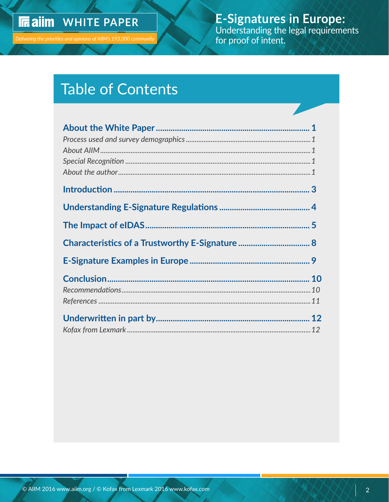## **In aiim** WHITE PAPER

E-Signatures in Europe:<br>Understanding the legal requirements for proof of intent.

# **Table of Contents**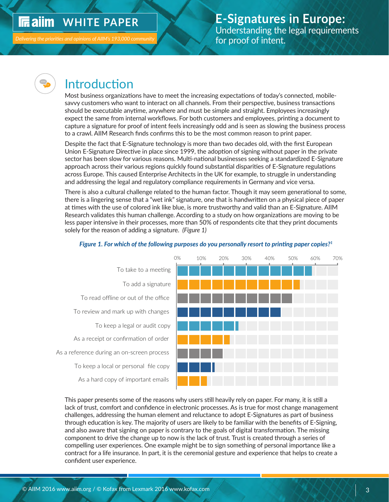### <span id="page-3-0"></span>*IRaim WHITE PAPER*



### Introduction

Most business organizations have to meet the increasing expectations of today's connected, mobilesavvy customers who want to interact on all channels. From their perspective, business transactions should be executable anytime, anywhere and must be simple and straight. Employees increasingly expect the same from internal workflows. For both customers and employees, printing a document to capture a signature for proof of intent feels increasingly odd and is seen as slowing the business process to a crawl. AIIM Research finds confirms this to be the most common reason to print paper.

Despite the fact that E-Signature technology is more than two decades old, with the first European Union E-Signature Directive in place since 1999, the adoption of signing without paper in the private sector has been slow for various reasons. Multi-national businesses seeking a standardized E-Signature approach across their various regions quickly found substantial disparities of E-Signature regulations across Europe. This caused Enterprise Architects in the UK for example, to struggle in understanding and addressing the legal and regulatory compliance requirements in Germany and vice versa.

There is also a cultural challenge related to the human factor. Though it may seem generational to some, there is a lingering sense that a "wet ink" signature, one that is handwritten on a physical piece of paper at times with the use of colored ink like blue, is more trustworthy and valid than an E-Signature. AIIM Research validates this human challenge. According to a study on how organizations are moving to be less paper intensive in their processes, more than 50% of respondents cite that they print documents solely for the reason of adding a signature. *(Figure 1)*



#### *Figure 1. For which of the following purposes do you personally resort to printing paper copies?<sup>1</sup>*

This paper presents some of the reasons why users still heavily rely on paper. For many, it is still a lack of trust, comfort and confidence in electronic processes. As is true for most change management challenges, addressing the human element and reluctance to adopt E-Signatures as part of business through education is key. The majority of users are likely to be familiar with the benefits of E-Signing, and also aware that signing on paper is contrary to the goals of digital transformation. The missing component to drive the change up to now is the lack of trust. Trust is created through a series of compelling user experiences. One example might be to sign something of personal importance like a contract for a life insurance. In part, it is the ceremonial gesture and experience that helps to create a confident user experience.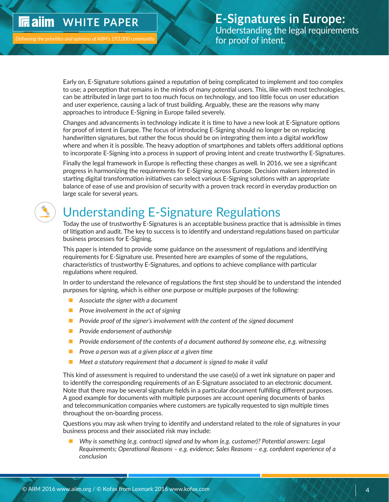### <span id="page-4-0"></span>**IF all M** WHITE PAPER

Delivering the priorities and opinions of AIIM's 193,000 communit

Early on, E-Signature solutions gained a reputation of being complicated to implement and too complex to use; a perception that remains in the minds of many potential users. This, like with most technologies, can be attributed in large part to too much focus on technology, and too little focus on user education and user experience, causing a lack of trust building. Arguably, these are the reasons why many approaches to introduce E-Signing in Europe failed severely.

Changes and advancements in technology indicate it is time to have a new look at E-Signature options for proof of intent in Europe. The focus of introducing E-Signing should no longer be on replacing handwritten signatures, but rather the focus should be on integrating them into a digital workflow where and when it is possible. The heavy adoption of smartphones and tablets offers additional options to incorporate E-Signing into a process in support of proving intent and create trustworthy E-Signatures.

Finally the legal framework in Europe is reflecting these changes as well. In 2016, we see a significant progress in harmonizing the requirements for E-Signing across Europe. Decision makers interested in starting digital transformation initiatives can select various E-Signing solutions with an appropriate balance of ease of use and provision of security with a proven track record in everyday production on large scale for several years.

## Understanding E-Signature Regulations

Today the use of trustworthy E-Signatures is an acceptable business practice that is admissible in times of litigation and audit. The key to success is to identify and understand regulations based on particular business processes for E-Signing.

This paper is intended to provide some guidance on the assessment of regulations and identifying requirements for E-Signature use. Presented here are examples of some of the regulations, characteristics of trustworthy E-Signatures, and options to achieve compliance with particular regulations where required.

In order to understand the relevance of regulations the first step should be to understand the intended purposes for signing, which is either one purpose or multiple purposes of the following:

- **n** Associate the signer with a document
- **n** *Prove involvement in the act of signing*
- **P** *Provide proof of the signer's involvement with the content of the signed document*
- **n** *Provide endorsement of authorship*
- **n** *Provide endorsement of the contents of a document authored by someone else, e.g. witnessing*
- **Prove a person was at a given place at a given time**
- Meet a statutory requirement that a document is signed to make it valid

This kind of assessment is required to understand the use case(s) of a wet ink signature on paper and to identify the corresponding requirements of an E-Signature associated to an electronic document. Note that there may be several signature fields in a particular document fulfilling different purposes. A good example for documents with multiple purposes are account opening documents of banks and telecommunication companies where customers are typically requested to sign multiple times throughout the on-boarding process.

Questions you may ask when trying to identify and understand related to the role of signatures in your business process and their associated risk may include:

■ Why is something (e.g. contract) signed and by whom (e.g. customer)? Potential answers: Legal *Requirements; Operational Reasons – e.g. evidence; Sales Reasons – e.g. confident experience of a conclusion*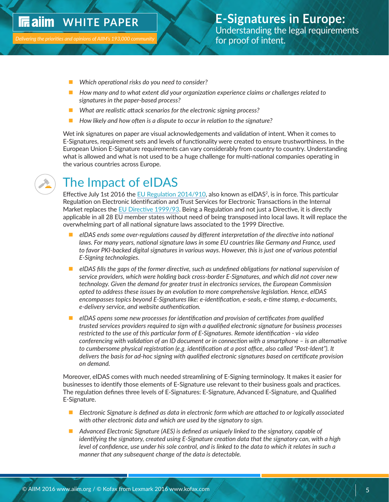- <span id="page-5-0"></span>**n** *Which operational risks do you need to consider?*
- How many and to what extent did your organization experience claims or challenges related to *signatures in the paper-based process?*
- *What are realistic attack scenarios for the electronic signing process?*
- **n** *How likely and how often is a dispute to occur in relation to the signature?*

Wet ink signatures on paper are visual acknowledgements and validation of intent. When it comes to E-Signatures, requirement sets and levels of functionality were created to ensure trustworthiness. In the European Union E-Signature requirements can vary considerably from country to country. Understanding what is allowed and what is not used to be a huge challenge for multi-national companies operating in the various countries across Europe.



## The Impact of eIDAS

Effective July 1st 2016 the [EU Regulation 2014/910,](http://eur-lex.europa.eu/legal-content/EN/TXT/?uri=uriserv%3AOJ.L_.2014.257.01.0073.01.ENG) also known as eIDAS<sup>2</sup>, is in force. This particular Regulation on Electronic Identification and Trust Services for Electronic Transactions in the Internal Market replaces the [EU Directive 1999/93](http://eur-lex.europa.eu/legal-content/DE/TXT/?uri=CELEX%3A31999L0093). Being a Regulation and not just a Directive, it is directly applicable in all 28 EU member states without need of being transposed into local laws. It will replace the overwhelming part of all national signature laws associated to the 1999 Directive.

- n *eIDAS ends some over-regulations caused by different interpretation of the directive into national laws. For many years, national signature laws in some EU countries like Germany and France, used to favor PKI-backed digital signatures in various ways. However, this is just one of various potential E-Signing technologies.*
- **n** eIDAS fills the gaps of the former directive, such as undefined obligations for national supervision of *service providers, which were holding back cross-border E-Signatures, and which did not cover new technology. Given the demand for greater trust in electronics services, the European Commission opted to address these issues by an evolution to more comprehensive legislation. Hence, eIDAS encompasses topics beyond E-Signatures like: e-identification, e-seals, e-time stamp, e-documents, e-delivery service, and website authentication.*
- n *eIDAS opens some new processes for identification and provision of certificates from qualified trusted services providers required to sign with a qualified electronic signature for business processes restricted to the use of this particular form of E-Signatures. Remote identification - via video conferencing with validation of an ID document or in connection with a smartphone – is an alternative to cumbersome physical registration (e.g. identification at a post office, also called "Post-Ident"). It delivers the basis for ad-hoc signing with qualified electronic signatures based on certificate provision on demand.*

Moreover, eIDAS comes with much needed streamlining of E-Signing terminology. It makes it easier for businesses to identify those elements of E-Signature use relevant to their business goals and practices. The regulation defines three levels of E-Signatures: E-Signature, Advanced E-Signature, and Qualified E-Signature.

- **E** *Electronic Signature is defined as data in electronic form which are attached to or logically associated with other electronic data and which are used by the signatory to sign.*
- Advanced Electronic Signature (AES) is defined as uniquely linked to the signatory, capable of *identifying the signatory, created using E-Signature creation data that the signatory can, with a high level of confidence, use under his sole control, and is linked to the data to which it relates in such a manner that any subsequent change of the data is detectable.*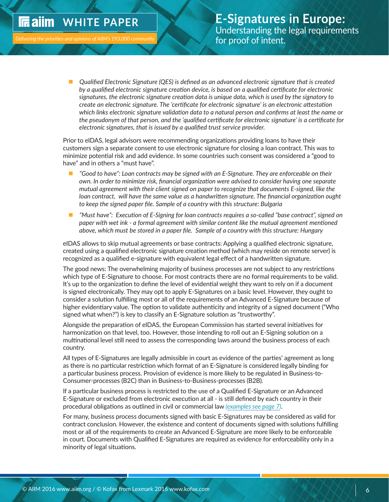#### **WHITE PAPER In ailm**

n *Qualified Electronic Signature (QES) is defined as an advanced electronic signature that is created by a qualified electronic signature creation device, is based on a qualified certificate for electronic signatures, the electronic signature creation data is unique data, which is used by the signatory to create an electronic signature. The 'certificate for electronic signature' is an electronic attestation which links electronic signature validation data to a natural person and confirms at least the name or the pseudonym of that person, and the 'qualified certificate for electronic signature' is a certificate for electronic signatures, that is issued by a qualified trust service provider.*

Prior to eIDAS, legal advisors were recommending organizations providing loans to have their customers sign a separate consent to use electronic signature for closing a loan contract. This was to minimize potential risk and add evidence. In some countries such consent was considered a "good to have" and in others a "must have".

- "Good to have": Loan contracts may be signed with an E-Signature. They are enforceable on their *own. In order to minimize risk, financial organization were advised to consider having one separate mutual agreement with their client signed on paper to recognize that documents E-signed, like the loan contract, will have the same value as a handwritten signature. The financial organization ought to keep the signed paper file. Sample of a country with this structure: Bulgaria*
- *"Must have": Execution of E-Signing for loan contracts requires a so-called "base contract", signed on paper with wet ink - a formal agreement with similar content like the mutual agreement mentioned above, which must be stored in a paper file. Sample of a country with this structure: Hungary*

eIDAS allows to skip mutual agreements or base contracts: Applying a qualified electronic signature, created using a qualified electronic signature creation method (which may reside on remote server) is recognized as a qualified e-signature with equivalent legal effect of a handwritten signature.

The good news: The overwhelming majority of business processes are not subject to any restrictions which type of E-Signature to choose. For most contracts there are no formal requirements to be valid. It's up to the organization to define the level of evidential weight they want to rely on if a document is signed electronically. They may opt to apply E-Signatures on a basic level. However, they ought to consider a solution fulfilling most or all of the requirements of an Advanced E-Signature because of higher evidentiary value. The option to validate authenticity and integrity of a signed document ("Who signed what when?") is key to classify an E-Signature solution as "trustworthy".

Alongside the preparation of eIDAS, the European Commission has started several initiatives for harmonization on that level, too. However, those intending to roll out an E-Signing solution on a multinational level still need to assess the corresponding laws around the business process of each country.

All types of E-Signatures are legally admissible in court as evidence of the parties' agreement as long as there is no particular restriction which format of an E-Signature is considered legally binding for a particular business process. Provision of evidence is more likely to be regulated in Business-to-Consumer-processes (B2C) than in Business-to-Business-processes (B2B).

If a particular business process is restricted to the use of a Qualified E-Signature or an Advanced E-Signature or excluded from electronic execution at all - is still defined by each country in their procedural obligations as outlined in civil or commercial law *([examples see page 7](#page-7-0))*.

For many, business process documents signed with basic E-Signatures may be considered as valid for contract conclusion. However, the existence and content of documents signed with solutions fulfilling most or all of the requirements to create an Advanced E-Signature are more likely to be enforceable in court. Documents with Qualified E-Signatures are required as evidence for enforceability only in a minority of legal situations.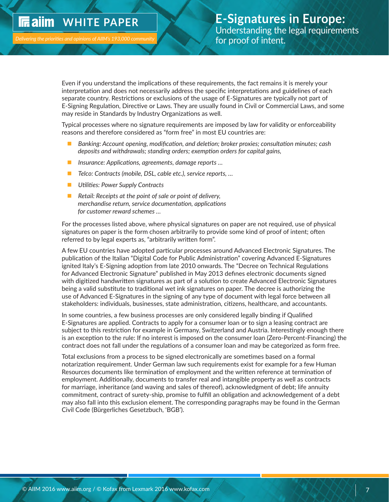#### <span id="page-7-0"></span> **WHITE PAPER IF** ailm

Even if you understand the implications of these requirements, the fact remains it is merely your interpretation and does not necessarily address the specific interpretations and guidelines of each separate country. Restrictions or exclusions of the usage of E-Signatures are typically not part of E-Signing Regulation, Directive or Laws. They are usually found in Civil or Commercial Laws, and some may reside in Standards by Industry Organizations as well.

Typical processes where no signature requirements are imposed by law for validity or enforceability reasons and therefore considered as "form free" in most EU countries are:

- n *Banking: Account opening, modification, and deletion; broker proxies; consultation minutes; cash deposits and withdrawals; standing orders; exemption orders for capital gains,*
- *Insurance: Applications, agreements, damage reports ...*
- *Telco: Contracts (mobile, DSL, cable etc.), service reports, ...*
- **n** Utilities: Power Supply Contracts
- Retail: Receipts at the point of sale or point of delivery, *merchandise return, service documentation, applications for customer reward schemes …*

For the processes listed above, where physical signatures on paper are not required, use of physical signatures on paper is the form chosen arbitrarily to provide some kind of proof of intent; often referred to by legal experts as, "arbitrarily written form".

A few EU countries have adopted particular processes around Advanced Electronic Signatures. The publication of the Italian "Digital Code for Public Administration" covering Advanced E-Signatures ignited Italy's E-Signing adoption from late 2010 onwards. The "Decree on Technical Regulations for Advanced Electronic Signature" published in May 2013 defines electronic documents signed with digitized handwritten signatures as part of a solution to create Advanced Electronic Signatures being a valid substitute to traditional wet ink signatures on paper. The decree is authorizing the use of Advanced E-Signatures in the signing of any type of document with legal force between all stakeholders: individuals, businesses, state administration, citizens, healthcare, and accountants.

In some countries, a few business processes are only considered legally binding if Qualified E-Signatures are applied. Contracts to apply for a consumer loan or to sign a leasing contract are subject to this restriction for example in Germany, Switzerland and Austria. Interestingly enough there is an exception to the rule: If no interest is imposed on the consumer loan (Zero-Percent-Financing) the contract does not fall under the regulations of a consumer loan and may be categorized as form free.

Total exclusions from a process to be signed electronically are sometimes based on a formal notarization requirement. Under German law such requirements exist for example for a few Human Resources documents like termination of employment and the written reference at termination of employment. Additionally, documents to transfer real and intangible property as well as contracts for marriage, inheritance (and waving and sales of thereof), acknowledgment of debt; life annuity commitment, contract of surety-ship, promise to fulfill an obligation and acknowledgement of a debt may also fall into this exclusion element. The corresponding paragraphs may be found in the German Civil Code (Bürgerliches Gesetzbuch, 'BGB').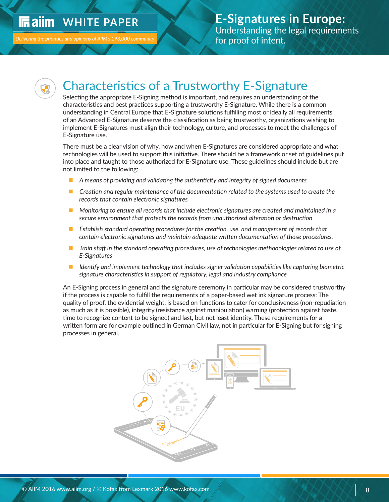#### <span id="page-8-0"></span>**IIE alim WHITE PAPER**

**Delivering the priorities and opinions of AIIM's** 



### Characteristics of a Trustworthy E-Signature

Selecting the appropriate E-Signing method is important, and requires an understanding of the characteristics and best practices supporting a trustworthy E-Signature. While there is a common understanding in Central Europe that E-Signature solutions fulfilling most or ideally all requirements of an Advanced E-Signature deserve the classification as being trustworthy, organizations wishing to implement E-Signatures must align their technology, culture, and processes to meet the challenges of E-Signature use.

There must be a clear vision of why, how and when E-Signatures are considered appropriate and what technologies will be used to support this initiative. There should be a framework or set of guidelines put into place and taught to those authorized for E-Signature use. These guidelines should include but are not limited to the following:

- n *A means of providing and validating the authenticity and integrity of signed documents*
- Creation and regular maintenance of the documentation related to the systems used to create the *records that contain electronic signatures*
- Monitoring to ensure all records that include electronic signatures are created and maintained in a *secure environment that protects the records from unauthorized alteration or destruction*
- *Establish standard operating procedures for the creation, use, and management of records that contain electronic signatures and maintain adequate written documentation of those procedures.*
- Train staff in the standard operating procedures, use of technologies methodologies related to use of *E-Signatures*
- *Identify and implement technology that includes signer validation capabilities like capturing biometric signature characteristics in support of regulatory, legal and industry compliance*

An E-Signing process in general and the signature ceremony in particular may be considered trustworthy if the process is capable to fulfill the requirements of a paper-based wet ink signature process: The quality of proof, the evidential weight, is based on functions to cater for conclusiveness (non-repudiation as much as it is possible), integrity (resistance against manipulation) warning (protection against haste, time to recognize content to be signed) and last, but not least identity. These requirements for a written form are for example outlined in German Civil law, not in particular for E-Signing but for signing processes in general.

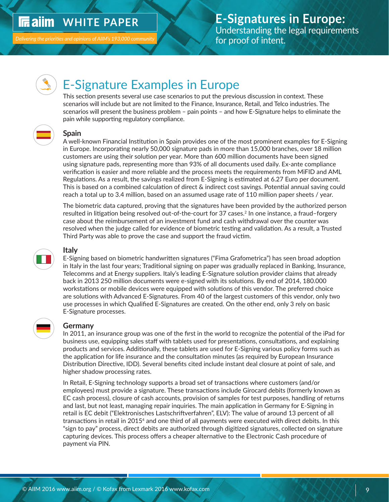#### <span id="page-9-0"></span>**In ailm WHITE PAPER**

Delivering the priorities and opinions of AIIM's 193,000 communit



### E-Signature Examples in Europe

This section presents several use case scenarios to put the previous discussion in context. These scenarios will include but are not limited to the Finance, Insurance, Retail, and Telco industries. The scenarios will present the business problem – pain points – and how E-Signature helps to eliminate the pain while supporting regulatory compliance.



#### **Spain**

A well-known Financial Institution in Spain provides one of the most prominent examples for E-Signing in Europe. Incorporating nearly 50,000 signature pads in more than 15,000 branches, over 18 million customers are using their solution per year. More than 600 million documents have been signed using signature pads, representing more than 93% of all documents used daily. Ex-ante compliance verification is easier and more reliable and the process meets the requirements from MiFID and AML Regulations. As a result, the savings realized from E-Signing is estimated at 6.27 Euro per document. This is based on a combined calculation of direct & indirect cost savings. Potential annual saving could reach a total up to 3.4 million, based on an assumed usage rate of 110 million paper sheets / year.

The biometric data captured, proving that the signatures have been provided by the authorized person resulted in litigation being resolved out-of-the-court for 37 cases.2 In one instance, a fraud–forgery case about the reimbursement of an investment fund and cash withdrawal over the counter was resolved when the judge called for evidence of biometric testing and validation. As a result, a Trusted Third Party was able to prove the case and support the fraud victim.



#### **Italy**

E-Signing based on biometric handwritten signatures ("Fima Grafometrica") has seen broad adoption in Italy in the last four years; Traditional signing on paper was gradually replaced in Banking, Insurance, Telecomms and at Energy suppliers. Italy's leading E-Signature solution provider claims that already back in 2013 250 million documents were e-signed with its solutions. By end of 2014, 180.000 workstations or mobile devices were equipped with solutions of this vendor. The preferred choice are solutions with Advanced E-Signatures. From 40 of the largest customers of this vendor, only two use processes in which Qualified E-Signatures are created. On the other end, only 3 rely on basic E-Signature processes.



#### **Germany**

In 2011, an insurance group was one of the first in the world to recognize the potential of the iPad for business use, equipping sales staff with tablets used for presentations, consultations, and explaining products and services. Additionally, these tablets are used for E-Signing various policy forms such as the application for life insurance and the consultation minutes (as required by European Insurance Distribution Directive, IDD). Several benefits cited include instant deal closure at point of sale, and higher shadow processing rates.

In Retail, E-Signing technology supports a broad set of transactions where customers (and/or employees) must provide a signature. These transactions include Girocard debits (formerly known as EC cash process), closure of cash accounts, provision of samples for test purposes, handling of returns and last, but not least, managing repair inquiries. The main application in Germany for E-Signing in retail is EC debit ("Elektronisches Lastschriftverfahren", ELV): The value of around 13 percent of all transactions in retail in [2015](http://www.einzelhandel.de/index.php/presse/aktuellemeldungen/item/125408-bezahlen-mit-ec-karte-und-unterschrift-weiter-gefragt)<sup>4</sup> and one third of all payments were executed with direct debits. In this "sign to pay" process, direct debits are authorized through digitized signatures, collected on signature capturing devices. This process offers a cheaper alternative to the Electronic Cash procedure of payment via PIN.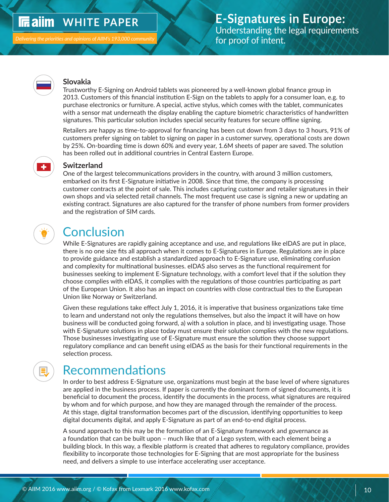#### <span id="page-10-0"></span> **WHITE PAPER In ailm**



#### **Slovakia**

Trustworthy E-Signing on Android tablets was pioneered by a well-known global finance group in 2013. Customers of this financial institution E-Sign on the tablets to apply for a consumer loan, e.g. to purchase electronics or furniture. A special, active stylus, which comes with the tablet, communicates with a sensor mat underneath the display enabling the capture biometric characteristics of handwritten signatures. This particular solution includes special security features for secure offline signing.

Retailers are happy as time-to-approval for financing has been cut down from 3 days to 3 hours, 91% of customers prefer signing on tablet to signing on paper in a customer survey, operational costs are down by 25%. On-boarding time is down 60% and every year, 1.6M sheets of paper are saved. The solution has been rolled out in additional countries in Central Eastern Europe.



#### **Switzerland**

One of the largest telecommunications providers in the country, with around 3 million customers, embarked on its first E-Signature initiative in 2008. Since that time, the company is processing customer contracts at the point of sale. This includes capturing customer and retailer signatures in their own shops and via selected retail channels. The most frequent use case is signing a new or updating an existing contract. Signatures are also captured for the transfer of phone numbers from former providers and the registration of SIM cards.

### **Conclusion**

While E-Signatures are rapidly gaining acceptance and use, and regulations like eIDAS are put in place, there is no one size fits all approach when it comes to E-Signatures in Europe. Regulations are in place to provide guidance and establish a standardized approach to E-Signature use, eliminating confusion and complexity for multinational businesses. eIDAS also serves as the functional requirement for businesses seeking to implement E-Signature technology, with a comfort level that if the solution they choose complies with eIDAS, it complies with the regulations of those countries participating as part of the European Union. It also has an impact on countries with close contractual ties to the European Union like Norway or Switzerland.

Given these regulations take effect July 1, 2016, it is imperative that business organizations take time to learn and understand not only the regulations themselves, but also the impact it will have on how business will be conducted going forward, a) with a solution in place, and b) investigating usage. Those with E-Signature solutions in place today must ensure their solution complies with the new regulations. Those businesses investigating use of E-Signature must ensure the solution they choose support regulatory compliance and can benefit using eIDAS as the basis for their functional requirements in the selection process.

## Recommendations

In order to best address E-Signature use, organizations must begin at the base level of where signatures are applied in the business process. If paper is currently the dominant form of signed documents, it is beneficial to document the process, identify the documents in the process, what signatures are required by whom and for which purpose, and how they are managed through the remainder of the process. At this stage, digital transformation becomes part of the discussion, identifying opportunities to keep digital documents digital, and apply E-Signature as part of an end-to-end digital process.

A sound approach to this may be the formation of an E-Signature framework and governance as a foundation that can be built upon – much like that of a Lego system, with each element being a building block. In this way, a flexible platform is created that adheres to regulatory compliance, provides flexibility to incorporate those technologies for E-Signing that are most appropriate for the business need, and delivers a simple to use interface accelerating user acceptance.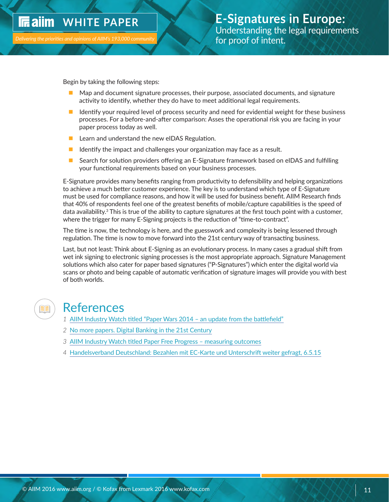<span id="page-11-0"></span>**Delivering the priorities and opinions of AIIM's** 

Begin by taking the following steps:

- n Map and document signature processes, their purpose, associated documents, and signature activity to identify, whether they do have to meet additional legal requirements.
- $\blacksquare$  Identify your required level of process security and need for evidential weight for these business processes. For a before-and-after comparison: Asses the operational risk you are facing in your paper process today as well.
- $\blacksquare$  Learn and understand the new eIDAS Regulation.
- $\blacksquare$  Identify the impact and challenges your organization may face as a result.
- Search for solution providers offering an E-Signature framework based on eIDAS and fulfilling your functional requirements based on your business processes.

E-Signature provides many benefits ranging from productivity to defensibility and helping organizations to achieve a much better customer experience. The key is to understand which type of E-Signature must be used for compliance reasons, and how it will be used for business benefit. AIIM Research finds that 40% of respondents feel one of the greatest benefits of mobile/capture capabilities is the speed of data availability.<sup>3</sup> This is true of the ability to capture signatures at the first touch point with a customer, where the trigger for many E-Signing projects is the reduction of "time-to-contract".

The time is now, the technology is here, and the guesswork and complexity is being lessened through regulation. The time is now to move forward into the 21st century way of transacting business.

Last, but not least: Think about E-Signing as an evolutionary process. In many cases a gradual shift from wet ink signing to electronic signing processes is the most appropriate approach. Signature Management solutions which also cater for paper based signatures ("P-Signatures") which enter the digital world via scans or photo and being capable of automatic verification of signature images will provide you with best of both worlds.



### References

- *1* [AIIM Industry Watch titled "Paper Wars 2014 an update from the battlefield"](http://www.aiim.org/Research-and-Publications/Research/Industry-Watch/Paper-Wars-2014)
- *2* [No more papers. Digital Banking in the 21st Century](https://prezi.com/a1wsjkk_ry-w/no-more-papers-digital-banking-in-the-21st-century/)
- *3* [AIIM Industry Watch titled Paper Free Progress measuring outcomes](http://www.einzelhandel.de/index.php/presse/aktuellemeldungen/item/125408-bezahlen-mit-ec-karte-und-unterschrift-weiter-gefragt)
- *4* [Handelsverband Deutschland: Bezahlen mit EC-Karte und Unterschrift weiter gefragt, 6.5.15](http://www.einzelhandel.de/index.php/presse/aktuellemeldungen/item/125408-bezahlen-mit-ec-karte-und-unterschrift-weiter-gefragt)